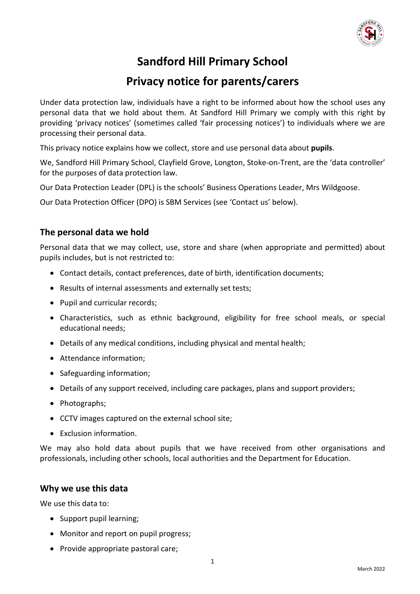

# **Sandford Hill Primary School**

# **Privacy notice for parents/carers**

Under data protection law, individuals have a right to be informed about how the school uses any personal data that we hold about them. At Sandford Hill Primary we comply with this right by providing 'privacy notices' (sometimes called 'fair processing notices') to individuals where we are processing their personal data.

This privacy notice explains how we collect, store and use personal data about **pupils**.

We, Sandford Hill Primary School, Clayfield Grove, Longton, Stoke-on-Trent, are the 'data controller' for the purposes of data protection law.

Our Data Protection Leader (DPL) is the schools' Business Operations Leader, Mrs Wildgoose.

Our Data Protection Officer (DPO) is SBM Services (see 'Contact us' below).

### **The personal data we hold**

Personal data that we may collect, use, store and share (when appropriate and permitted) about pupils includes, but is not restricted to:

- Contact details, contact preferences, date of birth, identification documents;
- Results of internal assessments and externally set tests;
- Pupil and curricular records;
- Characteristics, such as ethnic background, eligibility for free school meals, or special educational needs;
- Details of any medical conditions, including physical and mental health;
- Attendance information;
- Safeguarding information;
- Details of any support received, including care packages, plans and support providers;
- Photographs;
- CCTV images captured on the external school site;
- Exclusion information.

We may also hold data about pupils that we have received from other organisations and professionals, including other schools, local authorities and the Department for Education.

#### **Why we use this data**

We use this data to:

- Support pupil learning;
- Monitor and report on pupil progress;
- Provide appropriate pastoral care;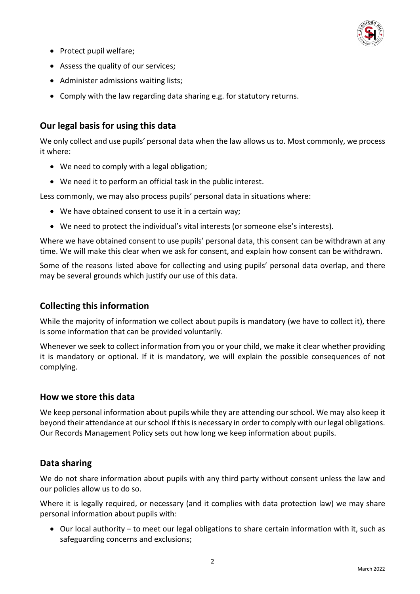

- Protect pupil welfare;
- Assess the quality of our services;
- Administer admissions waiting lists;
- Comply with the law regarding data sharing e.g. for statutory returns.

## **Our legal basis for using this data**

We only collect and use pupils' personal data when the law allows us to. Most commonly, we process it where:

- We need to comply with a legal obligation;
- We need it to perform an official task in the public interest.

Less commonly, we may also process pupils' personal data in situations where:

- We have obtained consent to use it in a certain way;
- We need to protect the individual's vital interests (or someone else's interests).

Where we have obtained consent to use pupils' personal data, this consent can be withdrawn at any time. We will make this clear when we ask for consent, and explain how consent can be withdrawn.

Some of the reasons listed above for collecting and using pupils' personal data overlap, and there may be several grounds which justify our use of this data.

#### **Collecting this information**

While the majority of information we collect about pupils is mandatory (we have to collect it), there is some information that can be provided voluntarily.

Whenever we seek to collect information from you or your child, we make it clear whether providing it is mandatory or optional. If it is mandatory, we will explain the possible consequences of not complying.

#### **How we store this data**

We keep personal information about pupils while they are attending our school. We may also keep it beyond their attendance at our school if this is necessary in order to comply with our legal obligations. Our Records Management Policy sets out how long we keep information about pupils.

#### **Data sharing**

We do not share information about pupils with any third party without consent unless the law and our policies allow us to do so.

Where it is legally required, or necessary (and it complies with data protection law) we may share personal information about pupils with:

• Our local authority – to meet our legal obligations to share certain information with it, such as safeguarding concerns and exclusions;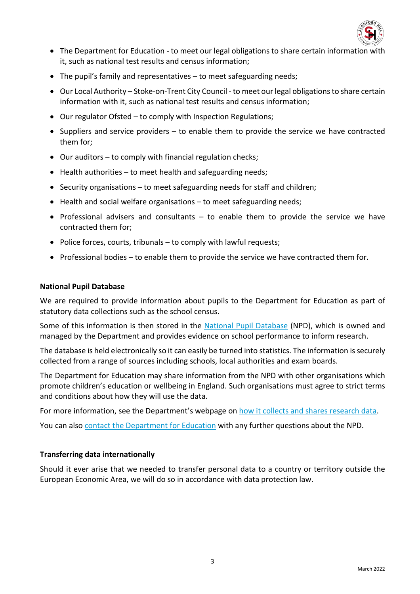

- The Department for Education to meet our legal obligations to share certain information with it, such as national test results and census information;
- The pupil's family and representatives to meet safeguarding needs;
- Our Local Authority Stoke-on-Trent City Council to meet our legal obligations to share certain information with it, such as national test results and census information;
- Our regulator Ofsted to comply with Inspection Regulations;
- Suppliers and service providers to enable them to provide the service we have contracted them for;
- Our auditors to comply with financial regulation checks;
- Health authorities to meet health and safeguarding needs;
- Security organisations to meet safeguarding needs for staff and children;
- Health and social welfare organisations to meet safeguarding needs;
- Professional advisers and consultants to enable them to provide the service we have contracted them for;
- Police forces, courts, tribunals to comply with lawful requests;
- Professional bodies to enable them to provide the service we have contracted them for.

#### **National Pupil Database**

We are required to provide information about pupils to the Department for Education as part of statutory data collections such as the school census.

Some of this information is then stored in the [National Pupil Database](https://www.gov.uk/government/publications/national-pupil-database-user-guide-and-supporting-information) (NPD), which is owned and managed by the Department and provides evidence on school performance to inform research.

The database is held electronically so it can easily be turned into statistics. The information is securely collected from a range of sources including schools, local authorities and exam boards.

The Department for Education may share information from the NPD with other organisations which promote children's education or wellbeing in England. Such organisations must agree to strict terms and conditions about how they will use the data.

For more information, see the Department's webpage o[n how it collects and shares research data.](https://www.gov.uk/data-protection-how-we-collect-and-share-research-data)

You can also [contact the Department for Education](https://www.gov.uk/contact-dfe) with any further questions about the NPD.

#### **Transferring data internationally**

Should it ever arise that we needed to transfer personal data to a country or territory outside the European Economic Area, we will do so in accordance with data protection law.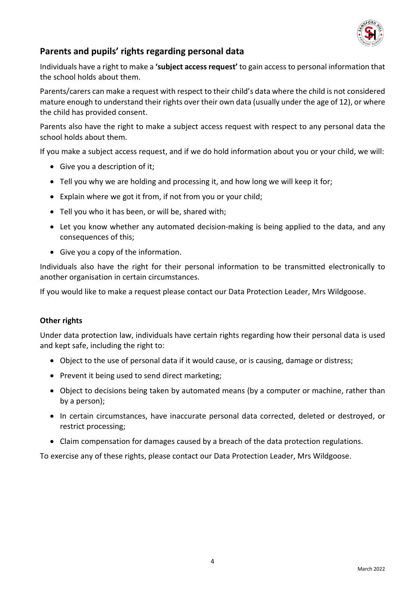

# **Parents and pupils' rights regarding personal data**

Individuals have a right to make a **'subject access request'** to gain access to personal information that the school holds about them.

Parents/carers can make a request with respect to their child's data where the child is not considered mature enough to understand their rights over their own data (usually under the age of 12), or where the child has provided consent.

Parents also have the right to make a subject access request with respect to any personal data the school holds about them.

If you make a subject access request, and if we do hold information about you or your child, we will:

- Give you a description of it;
- Tell you why we are holding and processing it, and how long we will keep it for;
- Explain where we got it from, if not from you or your child;
- Tell you who it has been, or will be, shared with;
- Let you know whether any automated decision-making is being applied to the data, and any consequences of this;
- Give you a copy of the information.

Individuals also have the right for their personal information to be transmitted electronically to another organisation in certain circumstances.

If you would like to make a request please contact our Data Protection Leader, Mrs Wildgoose.

#### **Other rights**

Under data protection law, individuals have certain rights regarding how their personal data is used and kept safe, including the right to:

- Object to the use of personal data if it would cause, or is causing, damage or distress;
- Prevent it being used to send direct marketing;
- Object to decisions being taken by automated means (by a computer or machine, rather than by a person);
- In certain circumstances, have inaccurate personal data corrected, deleted or destroyed, or restrict processing;
- Claim compensation for damages caused by a breach of the data protection regulations.

To exercise any of these rights, please contact our Data Protection Leader, Mrs Wildgoose.